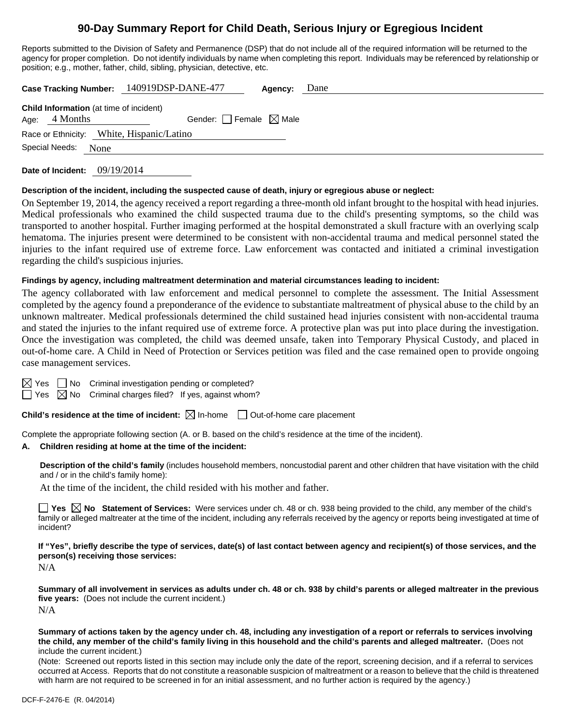# **90-Day Summary Report for Child Death, Serious Injury or Egregious Incident**

Reports submitted to the Division of Safety and Permanence (DSP) that do not include all of the required information will be returned to the agency for proper completion. Do not identify individuals by name when completing this report. Individuals may be referenced by relationship or position; e.g., mother, father, child, sibling, physician, detective, etc.

|                                                                     | Case Tracking Number: 140919DSP-DANE-477 | Agency: | Dane |
|---------------------------------------------------------------------|------------------------------------------|---------|------|
| <b>Child Information</b> (at time of incident)<br>Age: $4$ Months   | Gender: Female $\boxtimes$ Male          |         |      |
| Race or Ethnicity: White, Hispanic/Latino<br>Special Needs:<br>None |                                          |         |      |
|                                                                     |                                          |         |      |

**Date of Incident:** 09/19/2014

#### **Description of the incident, including the suspected cause of death, injury or egregious abuse or neglect:**

On September 19, 2014, the agency received a report regarding a three-month old infant brought to the hospital with head injuries. Medical professionals who examined the child suspected trauma due to the child's presenting symptoms, so the child was transported to another hospital. Further imaging performed at the hospital demonstrated a skull fracture with an overlying scalp hematoma. The injuries present were determined to be consistent with non-accidental trauma and medical personnel stated the injuries to the infant required use of extreme force. Law enforcement was contacted and initiated a criminal investigation regarding the child's suspicious injuries.

#### **Findings by agency, including maltreatment determination and material circumstances leading to incident:**

The agency collaborated with law enforcement and medical personnel to complete the assessment. The Initial Assessment completed by the agency found a preponderance of the evidence to substantiate maltreatment of physical abuse to the child by an unknown maltreater. Medical professionals determined the child sustained head injuries consistent with non-accidental trauma and stated the injuries to the infant required use of extreme force. A protective plan was put into place during the investigation. Once the investigation was completed, the child was deemed unsafe, taken into Temporary Physical Custody, and placed in out-of-home care. A Child in Need of Protection or Services petition was filed and the case remained open to provide ongoing case management services.

 $\boxtimes$  Yes  $\Box$  No Criminal investigation pending or completed?

 $\Box$  Yes  $\boxtimes$  No Criminal charges filed? If yes, against whom?

**Child's residence at the time of incident:**  $\boxtimes$  In-home  $\Box$  Out-of-home care placement

Complete the appropriate following section (A. or B. based on the child's residence at the time of the incident).

#### **A. Children residing at home at the time of the incident:**

**Description of the child's family** (includes household members, noncustodial parent and other children that have visitation with the child and / or in the child's family home):

At the time of the incident, the child resided with his mother and father.

**Yes No Statement of Services:** Were services under ch. 48 or ch. 938 being provided to the child, any member of the child's family or alleged maltreater at the time of the incident, including any referrals received by the agency or reports being investigated at time of incident?

**If "Yes", briefly describe the type of services, date(s) of last contact between agency and recipient(s) of those services, and the person(s) receiving those services:** 

N/A

**Summary of all involvement in services as adults under ch. 48 or ch. 938 by child's parents or alleged maltreater in the previous five years:** (Does not include the current incident.) N/A

**Summary of actions taken by the agency under ch. 48, including any investigation of a report or referrals to services involving the child, any member of the child's family living in this household and the child's parents and alleged maltreater.** (Does not include the current incident.)

(Note: Screened out reports listed in this section may include only the date of the report, screening decision, and if a referral to services occurred at Access. Reports that do not constitute a reasonable suspicion of maltreatment or a reason to believe that the child is threatened with harm are not required to be screened in for an initial assessment, and no further action is required by the agency.)